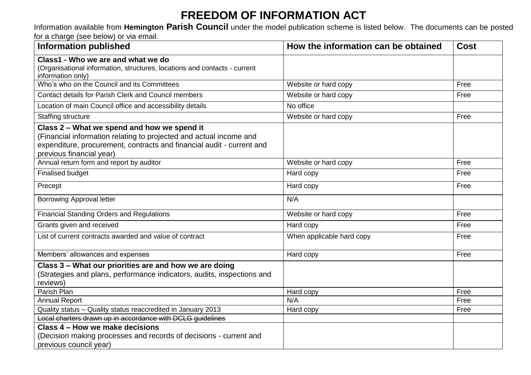## **FREEDOM OF INFORMATION ACT**

Information available from **Hemington Parish Council** under the model publication scheme is listed below. The documents can be posted for a charge (see below) or via email.

| <b>Information published</b>                                                                                                                                                                                           | How the information can be obtained | <b>Cost</b> |
|------------------------------------------------------------------------------------------------------------------------------------------------------------------------------------------------------------------------|-------------------------------------|-------------|
| Class1 - Who we are and what we do<br>(Organisational information, structures, locations and contacts - current<br>information only)                                                                                   |                                     |             |
| Who's who on the Council and its Committees                                                                                                                                                                            | Website or hard copy                | Free        |
| Contact details for Parish Clerk and Council members                                                                                                                                                                   | Website or hard copy                | Free        |
| Location of main Council office and accessibility details                                                                                                                                                              | No office                           |             |
| <b>Staffing structure</b>                                                                                                                                                                                              | Website or hard copy                | Free        |
| Class 2 - What we spend and how we spend it<br>(Financial information relating to projected and actual income and<br>expenditure, procurement, contracts and financial audit - current and<br>previous financial year) |                                     |             |
| Annual return form and report by auditor                                                                                                                                                                               | Website or hard copy                | Free        |
| <b>Finalised budget</b>                                                                                                                                                                                                | Hard copy                           | Free        |
| Precept                                                                                                                                                                                                                | Hard copy                           | Free        |
| <b>Borrowing Approval letter</b>                                                                                                                                                                                       | N/A                                 |             |
| <b>Financial Standing Orders and Regulations</b>                                                                                                                                                                       | Website or hard copy                | Free        |
| Grants given and received                                                                                                                                                                                              | Hard copy                           | Free        |
| List of current contracts awarded and value of contract                                                                                                                                                                | When applicable hard copy           | Free        |
| Members' allowances and expenses                                                                                                                                                                                       | Hard copy                           | Free        |
| Class 3 - What our priorities are and how we are doing<br>(Strategies and plans, performance indicators, audits, inspections and<br>reviews)                                                                           |                                     |             |
| Parish Plan                                                                                                                                                                                                            | Hard copy                           | Free        |
| <b>Annual Report</b>                                                                                                                                                                                                   | N/A                                 | Free        |
| Quality status - Quality status reaccredited in January 2013                                                                                                                                                           | Hard copy                           | Free        |
| Local charters drawn up in accordance with DCLG guidelines                                                                                                                                                             |                                     |             |
| Class 4 - How we make decisions                                                                                                                                                                                        |                                     |             |
| (Decision making processes and records of decisions - current and                                                                                                                                                      |                                     |             |
| previous council year)                                                                                                                                                                                                 |                                     |             |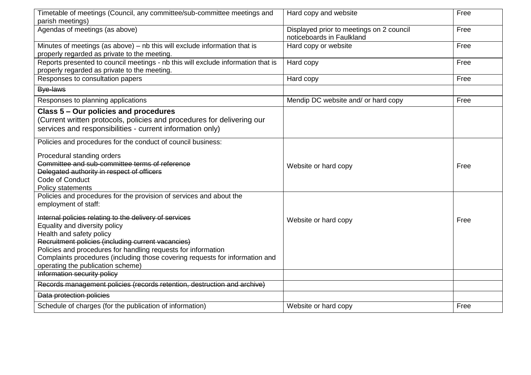| Timetable of meetings (Council, any committee/sub-committee meetings and                                                         | Hard copy and website                                                 | Free |
|----------------------------------------------------------------------------------------------------------------------------------|-----------------------------------------------------------------------|------|
| parish meetings)                                                                                                                 |                                                                       |      |
| Agendas of meetings (as above)                                                                                                   | Displayed prior to meetings on 2 council<br>noticeboards in Faulkland | Free |
| Minutes of meetings (as above) $-$ nb this will exclude information that is                                                      | Hard copy or website                                                  | Free |
| properly regarded as private to the meeting.                                                                                     |                                                                       | Free |
| Reports presented to council meetings - nb this will exclude information that is<br>properly regarded as private to the meeting. | Hard copy                                                             |      |
| Responses to consultation papers                                                                                                 | Hard copy                                                             | Free |
| Bye-laws                                                                                                                         |                                                                       |      |
| Responses to planning applications                                                                                               | Mendip DC website and/ or hard copy                                   | Free |
| Class 5 - Our policies and procedures                                                                                            |                                                                       |      |
| (Current written protocols, policies and procedures for delivering our                                                           |                                                                       |      |
| services and responsibilities - current information only)                                                                        |                                                                       |      |
| Policies and procedures for the conduct of council business:                                                                     |                                                                       |      |
| Procedural standing orders                                                                                                       |                                                                       |      |
| Committee and sub-committee terms of reference                                                                                   | Website or hard copy                                                  | Free |
| Delegated authority in respect of officers                                                                                       |                                                                       |      |
| Code of Conduct                                                                                                                  |                                                                       |      |
| Policy statements                                                                                                                |                                                                       |      |
| Policies and procedures for the provision of services and about the                                                              |                                                                       |      |
| employment of staff:                                                                                                             |                                                                       |      |
| Internal policies relating to the delivery of services                                                                           |                                                                       |      |
| Equality and diversity policy                                                                                                    | Website or hard copy                                                  | Free |
| Health and safety policy                                                                                                         |                                                                       |      |
| Recruitment policies (including current vacancies)                                                                               |                                                                       |      |
| Policies and procedures for handling requests for information                                                                    |                                                                       |      |
| Complaints procedures (including those covering requests for information and                                                     |                                                                       |      |
| operating the publication scheme)                                                                                                |                                                                       |      |
| Information security policy                                                                                                      |                                                                       |      |
| Records management policies (records retention, destruction and archive)                                                         |                                                                       |      |
| Data protection policies                                                                                                         |                                                                       |      |
| Schedule of charges (for the publication of information)                                                                         | Website or hard copy                                                  | Free |